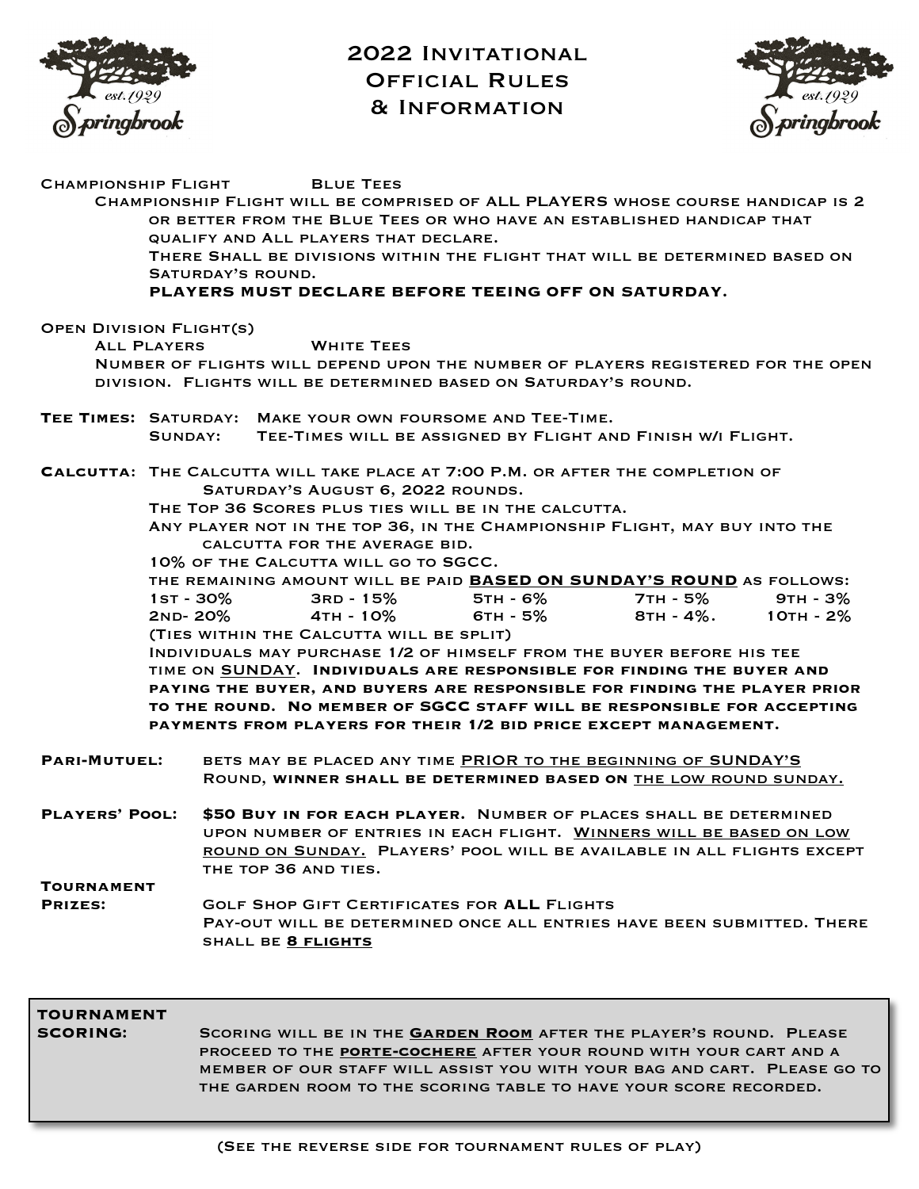

2022 INVITATIONAL Official Rules & Information



| CHAMPIONSHIP FLIGHT            | <b>BLUE TEES</b>                                                                 |  |
|--------------------------------|----------------------------------------------------------------------------------|--|
|                                | CHAMPIONSHIP FLIGHT WILL BE COMPRISED OF ALL PLAYERS WHOSE COURSE HANDICAP IS 2  |  |
|                                | OR BETTER FROM THE BLUE TEES OR WHO HAVE AN ESTABLISHED HANDICAP THAT            |  |
|                                | QUALIFY AND ALL PLAYERS THAT DECLARE.                                            |  |
|                                | THERE SHALL BE DIVISIONS WITHIN THE FLIGHT THAT WILL BE DETERMINED BASED ON      |  |
|                                | SATURDAY'S ROUND.                                                                |  |
|                                | PLAYERS MUST DECLARE BEFORE TEEING OFF ON SATURDAY.                              |  |
|                                |                                                                                  |  |
| <b>OPEN DIVISION FLIGHT(S)</b> | <b>WHITE TEES</b>                                                                |  |
| <b>ALL PLAYERS</b>             | NUMBER OF FLIGHTS WILL DEPEND UPON THE NUMBER OF PLAYERS REGISTERED FOR THE OPEN |  |
|                                | DIVISION. FLIGHTS WILL BE DETERMINED BASED ON SATURDAY'S ROUND.                  |  |
|                                |                                                                                  |  |
|                                | TEE TIMES: SATURDAY: MAKE YOUR OWN FOURSOME AND TEE-TIME.                        |  |
|                                | TEE-TIMES WILL BE ASSIGNED BY FLIGHT AND FINISH W/I FLIGHT.<br>SUNDAY:           |  |
|                                |                                                                                  |  |
|                                | CALCUTTA: THE CALCUTTA WILL TAKE PLACE AT 7:00 P.M. OR AFTER THE COMPLETION OF   |  |
|                                | SATURDAY'S AUGUST 6, 2022 ROUNDS.                                                |  |
|                                | THE TOP 36 SCORES PLUS TIES WILL BE IN THE CALCUTTA.                             |  |
|                                | ANY PLAYER NOT IN THE TOP 36, IN THE CHAMPIONSHIP FLIGHT, MAY BUY INTO THE       |  |
|                                | CALCUTTA FOR THE AVERAGE BID.                                                    |  |
|                                | 10% OF THE CALCUTTA WILL GO TO SGCC.                                             |  |
|                                | THE REMAINING AMOUNT WILL BE PAID BASED ON SUNDAY'S ROUND AS FOLLOWS:            |  |
|                                | 7тн - 5% 9тн - 3%<br>1st - 30%<br>3RD - 15%<br>5тн - 6%                          |  |
|                                | 2ND-20% 4TH-10%<br>6тн - 5%<br>$8TH - 4\%$ . 10TH - 2%                           |  |
|                                | (TIES WITHIN THE CALCUTTA WILL BE SPLIT)                                         |  |
|                                | INDIVIDUALS MAY PURCHASE 1/2 OF HIMSELF FROM THE BUYER BEFORE HIS TEE            |  |
|                                | TIME ON SUNDAY. INDIVIDUALS ARE RESPONSIBLE FOR FINDING THE BUYER AND            |  |
|                                | PAYING THE BUYER, AND BUYERS ARE RESPONSIBLE FOR FINDING THE PLAYER PRIOR        |  |
|                                | TO THE ROUND. NO MEMBER OF SGCC STAFF WILL BE RESPONSIBLE FOR ACCEPTING          |  |
|                                | PAYMENTS FROM PLAYERS FOR THEIR 1/2 BID PRICE EXCEPT MANAGEMENT.                 |  |
| <b>PARI-MUTUEL:</b>            | BETS MAY BE PLACED ANY TIME PRIOR TO THE BEGINNING OF SUNDAY'S                   |  |
|                                | ROUND, WINNER SHALL BE DETERMINED BASED ON THE LOW ROUND SUNDAY.                 |  |
|                                |                                                                                  |  |
| <b>PLAYERS' POOL:</b>          | \$50 BUY IN FOR EACH PLAYER. NUMBER OF PLACES SHALL BE DETERMINED                |  |
|                                | UPON NUMBER OF ENTRIES IN EACH FLIGHT. WINNERS WILL BE BASED ON LOW              |  |
|                                | ROUND ON SUNDAY. PLAYERS' POOL WILL BE AVAILABLE IN ALL FLIGHTS EXCEPT           |  |
|                                | THE TOP 36 AND TIES.                                                             |  |
| <b>TOURNAMENT</b>              |                                                                                  |  |
| PRIZES:                        | <b>GOLF SHOP GIFT CERTIFICATES FOR ALL FLIGHTS</b>                               |  |
|                                | PAY-OUT WILL BE DETERMINED ONCE ALL ENTRIES HAVE BEEN SUBMITTED. THERE           |  |
|                                | SHALL BE 8 FLIGHTS                                                               |  |
|                                |                                                                                  |  |
|                                |                                                                                  |  |
|                                |                                                                                  |  |
| <b>TOURNAMENT</b>              |                                                                                  |  |

**SCORING:** Scoring will be in the **Garden Room** after the player's round. Please proceed to the **porte-cochere** after your round with your cart and a member of our staff will assist you with your bag and cart. Please go to the garden room to the scoring table to have your score recorded.